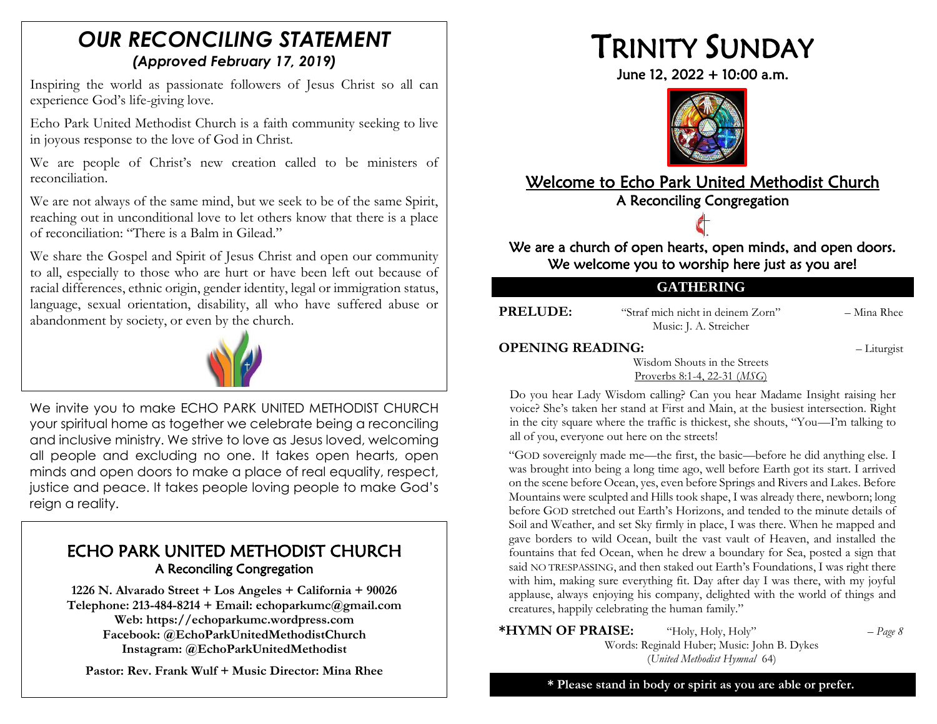# *OUR RECONCILING STATEMENT (Approved February 17, 2019)*

Inspiring the world as passionate followers of Jesus Christ so all can experience God's life-giving love.

Echo Park United Methodist Church is a faith community seeking to live in joyous response to the love of God in Christ.

We are people of Christ's new creation called to be ministers of reconciliation.

We are not always of the same mind, but we seek to be of the same Spirit, reaching out in unconditional love to let others know that there is a place of reconciliation: "There is a Balm in Gilead."

We share the Gospel and Spirit of Jesus Christ and open our community to all, especially to those who are hurt or have been left out because of racial differences, ethnic origin, gender identity, legal or immigration status, language, sexual orientation, disability, all who have suffered abuse or abandonment by society, or even by the church.



We invite you to make ECHO PARK UNITED METHODIST CHURCH your spiritual home as together we celebrate being a reconciling and inclusive ministry. We strive to love as Jesus loved, welcoming all people and excluding no one. It takes open hearts, open minds and open doors to make a place of real equality, respect, justice and peace. It takes people loving people to make God's reign a reality.

# ECHO PARK UNITED METHODIST CHURCH A Reconciling Congregation

**1226 N. Alvarado Street + Los Angeles + California + 90026 Telephone: 213-484-8214 + Email: echoparkumc@gmail.com Web: https://echoparkumc.wordpress.com Facebook: @EchoParkUnitedMethodistChurch Instagram: @EchoParkUnitedMethodist**

**Pastor: Rev. Frank Wulf + Music Director: Mina Rhee**

# TRINITY SUNDAY

June 12, 2022 + 10:00 a.m.



# Welcome to Echo Park United Methodist Church A Reconciling Congregation

We are a church of open hearts, open minds, and open doors. We welcome you to worship here just as you are!

# **GATHERING**

**PRELUDE:** "Straf mich nicht in deinem Zorn" – Mina Rhee Music: J. A. Streicher

#### **OPENING READING:** – Liturgist

Wisdom Shouts in the Streets [Proverbs 8:1-4, 22-31](https://www.biblegateway.com/passage/?search=Proverbs+8%3A1-4%2C+22-31&version=MSG) (*MSG*)

Do you hear Lady Wisdom calling? Can you hear Madame Insight raising her voice? She's taken her stand at First and Main, at the busiest intersection. Right in the city square where the traffic is thickest, she shouts, "You—I'm talking to all of you, everyone out here on the streets!

"GOD sovereignly made me—the first, the basic—before he did anything else. I was brought into being a long time ago, well before Earth got its start. I arrived on the scene before Ocean, yes, even before Springs and Rivers and Lakes. Before Mountains were sculpted and Hills took shape, I was already there, newborn; long before GOD stretched out Earth's Horizons, and tended to the minute details of Soil and Weather, and set Sky firmly in place, I was there. When he mapped and gave borders to wild Ocean, built the vast vault of Heaven, and installed the fountains that fed Ocean, when he drew a boundary for Sea, posted a sign that said NO TRESPASSING, and then staked out Earth's Foundations, I was right there with him, making sure everything fit. Day after day I was there, with my joyful applause, always enjoying his company, delighted with the world of things and creatures, happily celebrating the human family."

#### **\*HYMN OF PRAISE:** "Holy, Holy, Holy" – *Page 8*

Words: Reginald Huber; Music: John B. Dykes (*United Methodist Hymnal* 64)

**\* Please stand in body or spirit as you are able or prefer.**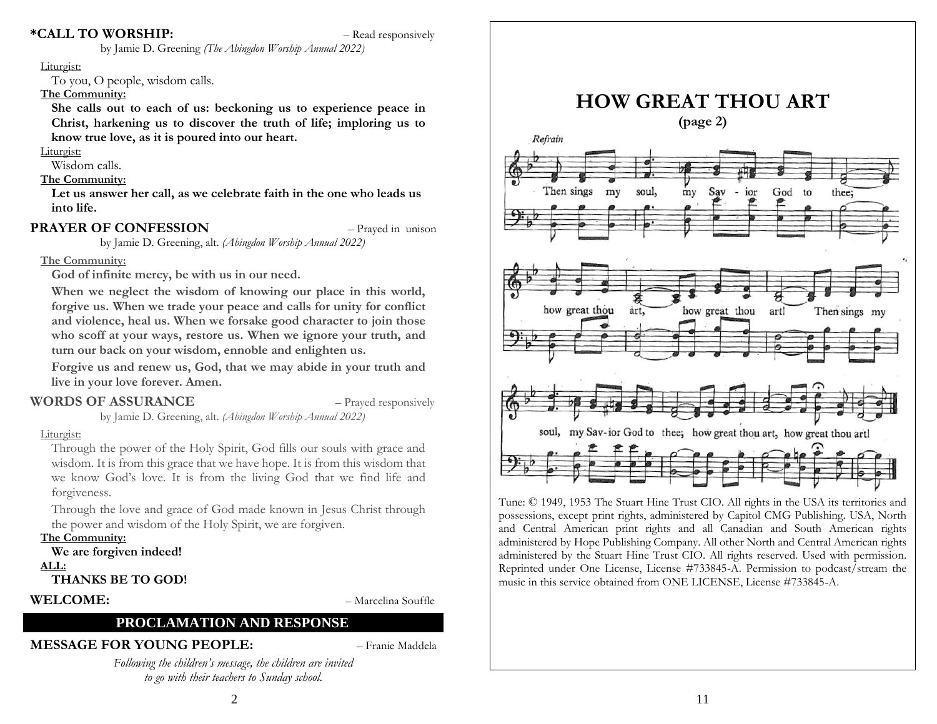#### **\*CALL TO WORSHIP:** – Read responsively

by Jamie D. Greening *(The Abingdon Worship Annual 2022)*

#### Liturgist:

To you, O people, wisdom calls.

#### **The Community:**

**She calls out to each of us: beckoning us to experience peace in Christ, harkening us to discover the truth of life; imploring us to know true love, as it is poured into our heart.**

#### Liturgist:

Wisdom calls.

#### **The Community:**

**Let us answer her call, as we celebrate faith in the one who leads us into life.**

#### **PRAYER OF CONFESSION** – Prayed in unison

by Jamie D. Greening, alt. *(Abingdon Worship Annual 2022)*

#### **The Community:**

**God of infinite mercy, be with us in our need.**

**When we neglect the wisdom of knowing our place in this world, forgive us. When we trade your peace and calls for unity for conflict and violence, heal us. When we forsake good character to join those who scoff at your ways, restore us. When we ignore your truth, and turn our back on your wisdom, ennoble and enlighten us.**

**Forgive us and renew us, God, that we may abide in your truth and live in your love forever. Amen.**

#### **WORDS OF ASSURANCE** – Prayed responsively

by Jamie D. Greening, alt. *(Abingdon Worship Annual 2022)*

#### Liturgist:

Through the power of the Holy Spirit, God fills our souls with grace and wisdom. It is from this grace that we have hope. It is from this wisdom that we know God's love. It is from the living God that we find life and forgiveness.

Through the love and grace of God made known in Jesus Christ through the power and wisdom of the Holy Spirit, we are forgiven.

#### **The Community:**

**We are forgiven indeed! ALL: THANKS BE TO GOD!**

**WELCOME:**  $-$  Marcelina Souffle

### **PROCLAMATION AND RESPONSE**

**MESSAGE FOR YOUNG PEOPLE:**  $-$  Franie Maddela

*Following the children's message, the children are invited to go with their teachers to Sunday school.*



Tune: © 1949, 1953 The Stuart Hine Trust CIO. All rights in the USA its territories and possessions, except print rights, administered by Capitol CMG Publishing. USA, North and Central American print rights and all Canadian and South American rights administered by Hope Publishing Company. All other North and Central American rights administered by the Stuart Hine Trust CIO. All rights reserved. Used with permission. Reprinted under One License, License #733845-A. Permission to podcast/stream the music in this service obtained from ONE LICENSE, License #733845-A.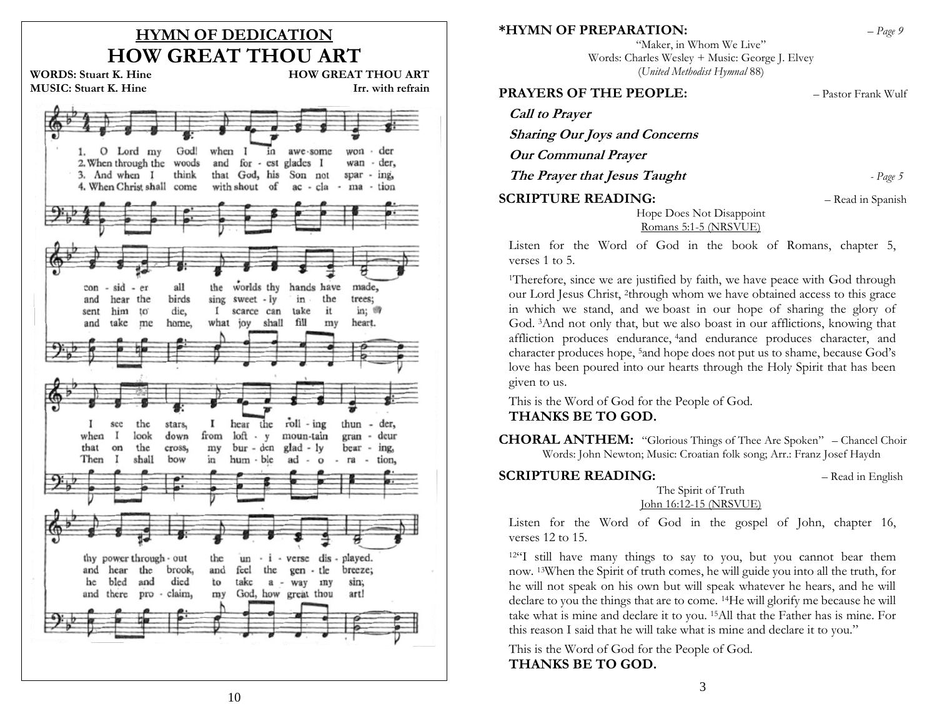# **HYMN OF DEDICATION HOW GREAT THOU ART**

**WORDS: Stuart K. Hine HOW GREAT THOU ART MUSIC: Stuart K. Hine Irr. with refrain** $\circ$ Lord my God! when in awe-some won der 2. When through the woods and for - est glades I wan der. 3. And when I think that God, his Son not spar - ing, 4. When Christ shall come with shout  $\alpha$ f ac ma - tion hands have made, con er all the worlds thy birds sing sweet - ly in. the trees; and hear the die, 1 scarce can take it in; him to sent what joy shall fill mv heart. and take me home, stars, hear  $roll - ing$ thun the the look down from loft  $-$  V moun-tain gran deur the cross. my bur - den  $glad - ly$ bear ing. in hum - ble shal bow ad  $\Omega$ tion, thy power through - out the  $- i$  - verse dis played. un and hear the brook. and feel the gen - tle breeze; died to take he and  $\mathbf a$ - way my sin; and there pro claim, mv God, how great thou artl

# **\*HYMN OF PREPARATION:** – *Page 9* "Maker, in Whom We Live" Words: Charles Wesley + Music: George J. Elvey (*United Methodist Hymnal* 88) **PRAYERS OF THE PEOPLE:**  $-$  Pastor Frank Wulf **Call to Prayer Sharing Our Joys and Concerns Our Communal Prayer The Prayer that Jesus Taught** *- Page 5* **SCRIPTURE READING:**  $-$  Read in Spanish Hope Does Not Disappoint [Romans 5:1-5](https://www.biblegateway.com/passage/?search=Romans+5%3A1-5&version=NRSVUE) (NRSVUE)

Listen for the Word of God in the book of Romans, chapter 5, verses 1 to 5.

<sup>1</sup>Therefore, since we are justified by faith, we have peace with God through our Lord Jesus Christ, <sup>2</sup> through whom we have obtained access to this grace in which we stand, and we boast in our hope of sharing the glory of God. <sup>3</sup>And not only that, but we also boast in our afflictions, knowing that affliction produces endurance, <sup>4</sup>and endurance produces character, and character produces hope, <sup>5</sup>and hope does not put us to shame, because God's love has been poured into our hearts through the Holy Spirit that has been given to us.

This is the Word of God for the People of God. **THANKS BE TO GOD.**

**CHORAL ANTHEM:** "Glorious Things of Thee Are Spoken" – Chancel Choir Words: John Newton; Music: Croatian folk song; Arr.: Franz Josef Haydn

#### **SCRIPTURE READING:**  $-$  Read in English

The Spirit of Truth [John 16:12-15](https://www.biblegateway.com/passage/?search=John+16%3A12-15&version=NRSVUE) (NRSVUE)

Listen for the Word of God in the gospel of John, chapter 16, verses 12 to 15.

<sup>12</sup>"I still have many things to say to you, but you cannot bear them now. <sup>13</sup>When the Spirit of truth comes, he will guide you into all the truth, for he will not speak on his own but will speak whatever he hears, and he will declare to you the things that are to come. <sup>14</sup>He will glorify me because he will take what is mine and declare it to you. <sup>15</sup>All that the Father has is mine. For this reason I said that he will take what is mine and declare it to you."

This is the Word of God for the People of God. **THANKS BE TO GOD.**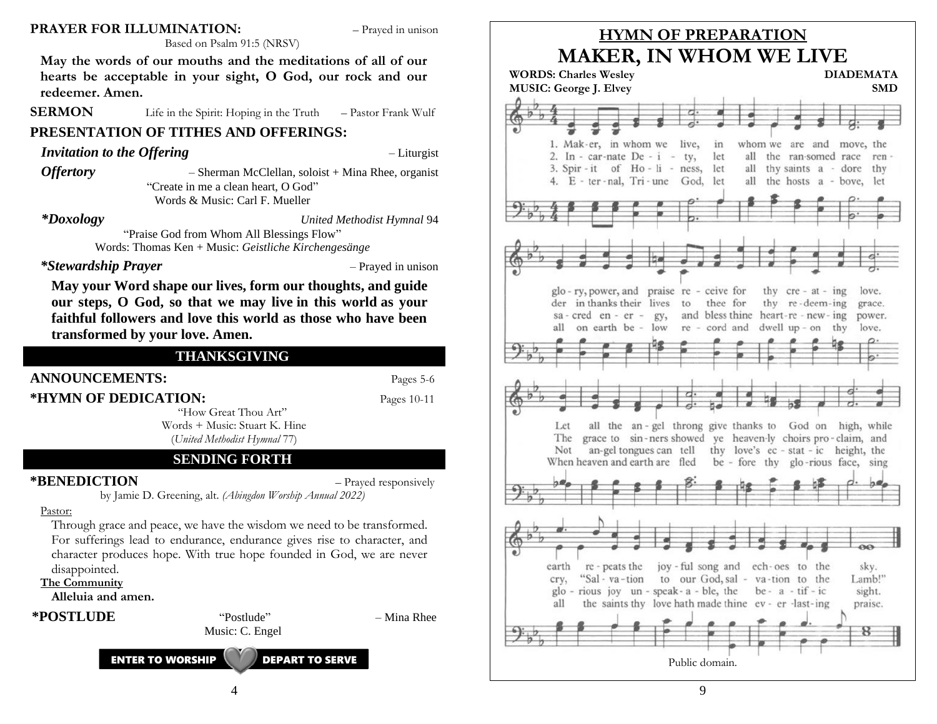#### **PRAYER FOR ILLUMINATION:**  $-$  Prayed in unison

Based on Psalm 91:5 (NRSV)

**May the words of our mouths and the meditations of all of our hearts be acceptable in your sight, O God, our rock and our redeemer. Amen.**

**SERMON** Life in the Spirit: Hoping in the Truth – Pastor Frank Wulf

# **PRESENTATION OF TITHES AND OFFERINGS:**

#### *Invitation to the Offering* – Liturgist

*Offertory* – Sherman McClellan, soloist + Mina Rhee, organist "Create in me a clean heart, O God" Words & Music: Carl F. Mueller

*\*Doxology United Methodist Hymnal* 94

"Praise God from Whom All Blessings Flow" Words: Thomas Ken + Music: *Geistliche Kirchengesänge*

#### *\*Stewardship Prayer* – Prayed in unison

**May your Word shape our lives, form our thoughts, and guide our steps, O God, so that we may live in this world as your faithful followers and love this world as those who have been transformed by your love. Amen.**

#### **THANKSGIVING**

#### **ANNOUNCEMENTS:** Pages 5-6 **\*HYMN OF DEDICATION:** Pages 10-11

"How Great Thou Art" Words + Music: Stuart K. Hine (*United Methodist Hymnal* 77)

#### **SENDING FORTH**

**\*BENEDICTION** – Prayed responsively

by Jamie D. Greening, alt. *(Abingdon Worship Annual 2022)*

#### Pastor:

Through grace and peace, we have the wisdom we need to be transformed. For sufferings lead to endurance, endurance gives rise to character, and character produces hope. With true hope founded in God, we are never disappointed.

#### **The Community**

**Alleluia and amen.**

**\*POSTLUDE** "Postlude" – Mina Rhee

Music: C. Engel



# **HYMN OF PREPARATION MAKER, IN WHOM WE LIVE**

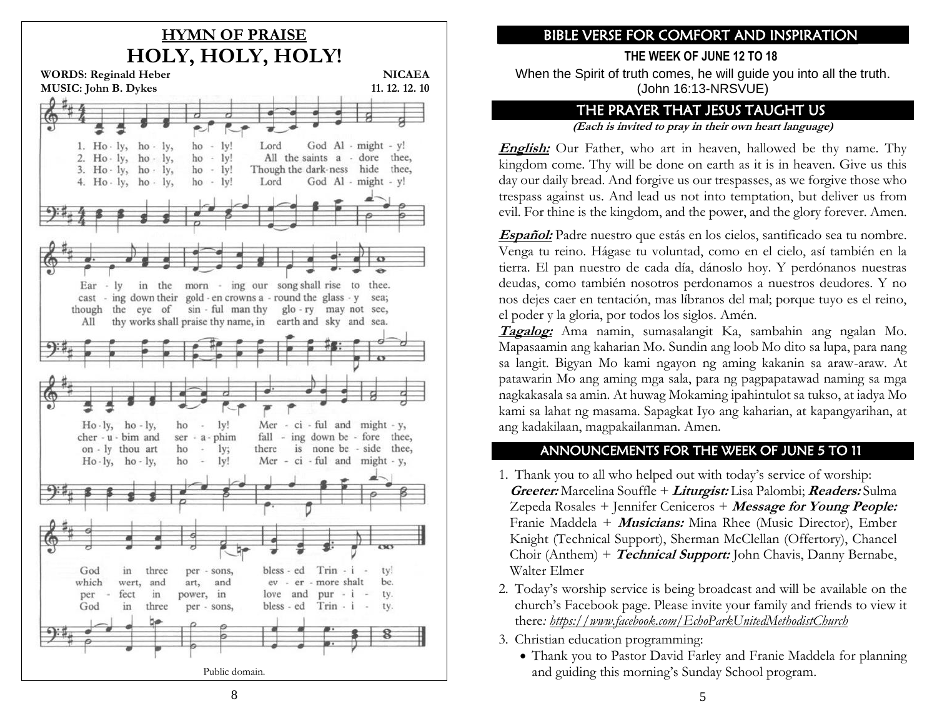# **HYMN OF PRAISE HOLY, HOLY, HOLY!**



### BIBLE VERSE FOR COMFORT AND INSPIRATION

**THE WEEK OF JUNE 12 TO 18**

When the Spirit of truth comes, he will guide you into all the truth. (John 16:13-NRSVUE)

# THE PRAYER THAT JESUS TAUGHT US

**(Each is invited to pray in their own heart language)**

**English:** Our Father, who art in heaven, hallowed be thy name. Thy kingdom come. Thy will be done on earth as it is in heaven. Give us this day our daily bread. And forgive us our trespasses, as we forgive those who trespass against us. And lead us not into temptation, but deliver us from evil. For thine is the kingdom, and the power, and the glory forever. Amen.

**Español:** Padre nuestro que estás en los cielos, santificado sea tu nombre. Venga tu reino. Hágase tu voluntad, como en el cielo, así también en la tierra. El pan nuestro de cada día, dánoslo hoy. Y perdónanos nuestras deudas, como también nosotros perdonamos a nuestros deudores. Y no nos dejes caer en tentación, mas líbranos del mal; porque tuyo es el reino, el poder y la gloria, por todos los siglos. Amén.

**Tagalog:** Ama namin, sumasalangit Ka, sambahin ang ngalan Mo. Mapasaamin ang kaharian Mo. Sundin ang loob Mo dito sa lupa, para nang sa langit. Bigyan Mo kami ngayon ng aming kakanin sa araw-araw. At patawarin Mo ang aming mga sala, para ng pagpapatawad naming sa mga nagkakasala sa amin. At huwag Mokaming ipahintulot sa tukso, at iadya Mo kami sa lahat ng masama. Sapagkat Iyo ang kaharian, at kapangyarihan, at ang kadakilaan, magpakailanman. Amen.

# ANNOUNCEMENTS FOR THE WEEK OF JUNE 5 TO 11

- 1. Thank you to all who helped out with today's service of worship: **Greeter:** Marcelina Souffle + **Liturgist:** Lisa Palombi; **Readers:** Sulma Zepeda Rosales + Jennifer Ceniceros + **Message for Young People:** Franie Maddela + **Musicians:** Mina Rhee (Music Director), Ember Knight (Technical Support), Sherman McClellan (Offertory), Chancel Choir (Anthem) + **Technical Support:** John Chavis, Danny Bernabe, Walter Elmer
- 2. Today's worship service is being broadcast and will be available on the church's Facebook page. Please invite your family and friends to view it there*:<https://www.facebook.com/EchoParkUnitedMethodistChurch>*
- 3. Christian education programming:
	- Thank you to Pastor David Farley and Franie Maddela for planning and guiding this morning's Sunday School program.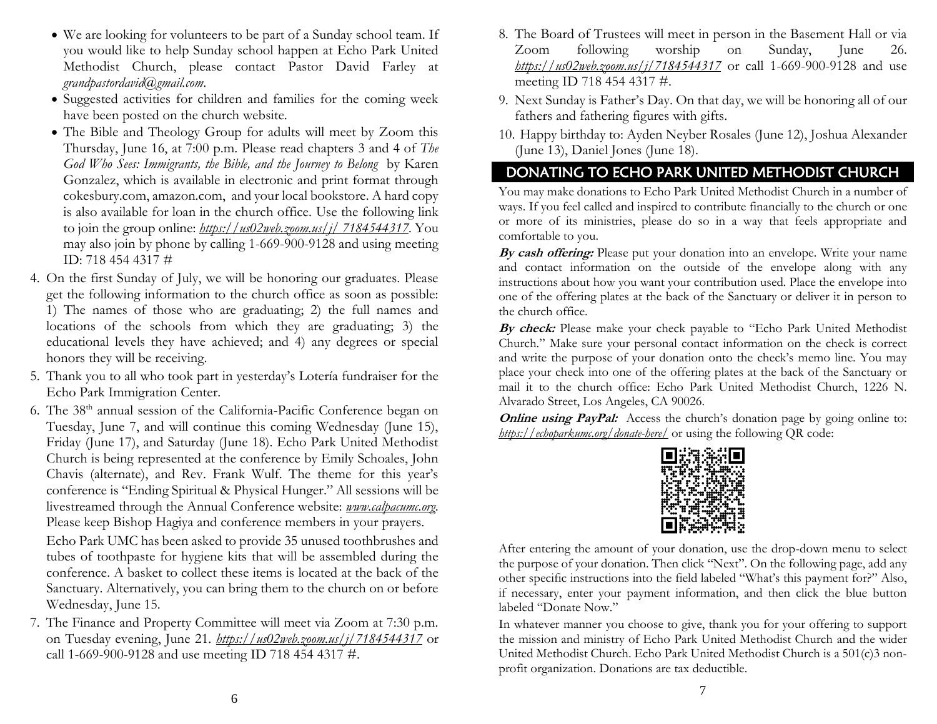- We are looking for volunteers to be part of a Sunday school team. If you would like to help Sunday school happen at Echo Park United Methodist Church, please contact Pastor David Farley at *grandpastordavid@gmail.com*.
- Suggested activities for children and families for the coming week have been posted on the church website.
- The Bible and Theology Group for adults will meet by Zoom this Thursday, June 16, at 7:00 p.m. Please read chapters 3 and 4 of *The God Who Sees: Immigrants, the Bible, and the Journey to Belong* by Karen Gonzalez, which is available in electronic and print format through cokesbury.com, amazon.com, and your local bookstore. A hard copy is also available for loan in the church office. Use the following link to join the group online: *[https://us02web.zoom.us/j/](https://us02web.zoom.us/j/7184544317) 7184544317.* You may also join by phone by calling 1-669-900-9128 and using meeting ID: 718 454 4317 #
- 4. On the first Sunday of July, we will be honoring our graduates. Please get the following information to the church office as soon as possible: 1) The names of those who are graduating; 2) the full names and locations of the schools from which they are graduating; 3) the educational levels they have achieved; and 4) any degrees or special honors they will be receiving.
- 5. Thank you to all who took part in yesterday's Lotería fundraiser for the Echo Park Immigration Center.
- 6. The 38th annual session of the California-Pacific Conference began on Tuesday, June 7, and will continue this coming Wednesday (June 15), Friday (June 17), and Saturday (June 18). Echo Park United Methodist Church is being represented at the conference by Emily Schoales, John Chavis (alternate), and Rev. Frank Wulf. The theme for this year's conference is "Ending Spiritual & Physical Hunger." All sessions will be livestreamed through the Annual Conference website: *[www.calpacumc.org](http://www.calpacumc.org/)*. Please keep Bishop Hagiya and conference members in your prayers.

Echo Park UMC has been asked to provide 35 unused toothbrushes and tubes of toothpaste for hygiene kits that will be assembled during the conference. A basket to collect these items is located at the back of the Sanctuary. Alternatively, you can bring them to the church on or before Wednesday, June 15.

7. The Finance and Property Committee will meet via Zoom at 7:30 p.m. on Tuesday evening, June 21. *<https://us02web.zoom.us/j/7184544317>* or call 1-669-900-9128 and use meeting ID 718 454 4317 #.

- 8. The Board of Trustees will meet in person in the Basement Hall or via Zoom following worship on Sunday, June 26. *<https://us02web.zoom.us/j/7184544317>* or call 1-669-900-9128 and use meeting ID 718 454 4317 #.
- 9. Next Sunday is Father's Day. On that day, we will be honoring all of our fathers and fathering figures with gifts.
- 10. Happy birthday to: Ayden Neyber Rosales (June 12), Joshua Alexander (June 13), Daniel Jones (June 18).

# DONATING TO ECHO PARK UNITED METHODIST CHURCH

You may make donations to Echo Park United Methodist Church in a number of ways. If you feel called and inspired to contribute financially to the church or one or more of its ministries, please do so in a way that feels appropriate and comfortable to you.

**By cash offering:** Please put your donation into an envelope. Write your name and contact information on the outside of the envelope along with any instructions about how you want your contribution used. Place the envelope into one of the offering plates at the back of the Sanctuary or deliver it in person to the church office.

**By check:** Please make your check payable to "Echo Park United Methodist Church." Make sure your personal contact information on the check is correct and write the purpose of your donation onto the check's memo line. You may place your check into one of the offering plates at the back of the Sanctuary or mail it to the church office: Echo Park United Methodist Church, 1226 N. Alvarado Street, Los Angeles, CA 90026.

**Online using PayPal:** Access the church's donation page by going online to: *<https://echoparkumc.org/donate-here/>* or using the following QR code:



After entering the amount of your donation, use the drop-down menu to select the purpose of your donation. Then click "Next". On the following page, add any other specific instructions into the field labeled "What's this payment for?" Also, if necessary, enter your payment information, and then click the blue button labeled "Donate Now."

In whatever manner you choose to give, thank you for your offering to support the mission and ministry of Echo Park United Methodist Church and the wider United Methodist Church. Echo Park United Methodist Church is a 501(c)3 nonprofit organization. Donations are tax deductible.